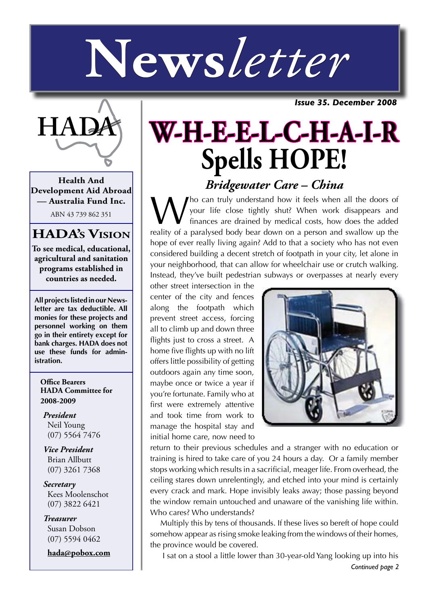# **News***letter*

*Issue 35. December 2008*



**Health And Development Aid Abroad — Australia Fund Inc.**

ABN 43 739 862 351

## **HADA's Vision**

**To see medical, educational, agricultural and sanitation programs established in countries as needed.**

**All projects listed in our Newsletter are tax deductible. All monies for these projects and personnel working on them go in their entirety except for bank charges. HADA does not use these funds for administration.**

**Office Bearers HADA Committee for 2008-2009**

*President* Neil Young (07) 5564 7476

*Vice President* Brian Allbutt (07) 3261 7368

*Secretary* Kees Moolenschot (07) 3822 6421

*Treasurer* Susan Dobson (07) 5594 0462

**hada@pobox.com**

## **W-H-E-E-L-C-H-A-I-R Spells HOPE!** *Bridgewater Care – China*

Who can truly understand how it feels when all the doors of your life close tightly shut? When work disappears and finances are drained by medical costs, how does the added reality of a paralysed body bear down on a person and swallow up the hope of ever really living again? Add to that a society who has not even considered building a decent stretch of footpath in your city, let alone in your neighborhood, that can allow for wheelchair use or crutch walking. Instead, they've built pedestrian subways or overpasses at nearly every

other street intersection in the center of the city and fences along the footpath which prevent street access, forcing all to climb up and down three flights just to cross a street. A home five flights up with no lift offers little possibility of getting outdoors again any time soon, maybe once or twice a year if you're fortunate. Family who at first were extremely attentive and took time from work to manage the hospital stay and initial home care, now need to



return to their previous schedules and a stranger with no education or training is hired to take care of you 24 hours a day. Or a family member stops working which results in a sacrificial, meager life. From overhead, the ceiling stares down unrelentingly, and etched into your mind is certainly every crack and mark. Hope invisibly leaks away; those passing beyond the window remain untouched and unaware of the vanishing life within. Who cares? Who understands?

Multiply this by tens of thousands. If these lives so bereft of hope could somehow appear as rising smoke leaking from the windows of their homes, the province would be covered.

*Continued page 2* I sat on a stool a little lower than 30-year-old Yang looking up into his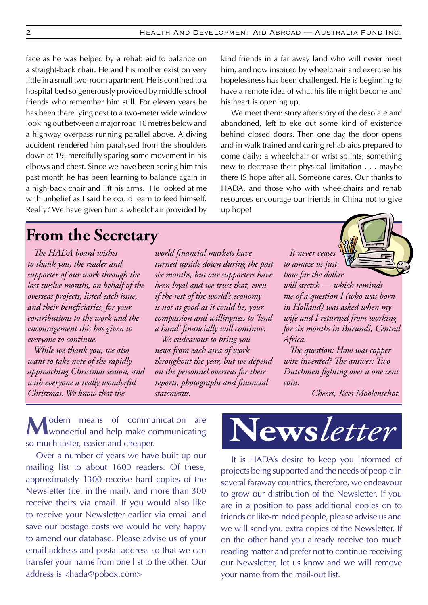face as he was helped by a rehab aid to balance on a straight-back chair. He and his mother exist on very little in a small two-room apartment. He is confined to a hospital bed so generously provided by middle school friends who remember him still. For eleven years he has been there lying next to a two-meter wide window looking out between a major road 10 metres below and a highway overpass running parallel above. A diving accident rendered him paralysed from the shoulders down at 19, mercifully sparing some movement in his elbows and chest. Since we have been seeing him this past month he has been learning to balance again in a high-back chair and lift his arms. He looked at me with unbelief as I said he could learn to feed himself. Really? We have given him a wheelchair provided by

kind friends in a far away land who will never meet him, and now inspired by wheelchair and exercise his hopelessness has been challenged. He is beginning to have a remote idea of what his life might become and his heart is opening up.

We meet them: story after story of the desolate and abandoned, left to eke out some kind of existence behind closed doors. Then one day the door opens and in walk trained and caring rehab aids prepared to come daily; a wheelchair or wrist splints; something new to decrease their physical limitation . . . maybe there IS hope after all. Someone cares. Our thanks to HADA, and those who with wheelchairs and rehab resources encourage our friends in China not to give up hope!

## **From the Secretary**

*The HADA board wishes to thank you, the reader and supporter of our work through the last twelve months, on behalf of the overseas projects, listed each issue, and their beneficiaries, for your contributions to the work and the encouragement this has given to everyone to continue.* 

*While we thank you, we also want to take note of the rapidly approaching Christmas season, and wish everyone a really wonderful Christmas. We know that the* 

*world financial markets have turned upside down during the past six months, but our supporters have been loyal and we trust that, even if the rest of the world's economy is not as good as it could be, your compassion and willingness to 'lend a hand' financially will continue.*

*We endeavour to bring you news from each area of work throughout the year, but we depend on the personnel overseas for their reports, photographs and financial statements.*



*how far the dollar will stretch — which reminds me of a question I (who was born in Holland) was asked when my wife and I returned from working for six months in Burundi, Central Africa.* 

*The question: How was copper wire invented? The answer: Two Dutchmen fighting over a one cent coin.*

*Cheers, Kees Moolenschot.*

**M**odern means of communication are wonderful and help make communicating so much faster, easier and cheaper.

Over a number of years we have built up our mailing list to about 1600 readers. Of these, approximately 1300 receive hard copies of the Newsletter (i.e. in the mail), and more than 300 receive theirs via email. If you would also like to receive your Newsletter earlier via email and save our postage costs we would be very happy to amend our database. Please advise us of your email address and postal address so that we can transfer your name from one list to the other. Our address is <hada@pobox.com>



It is HADA's desire to keep you informed of projects being supported and the needs of people in several faraway countries, therefore, we endeavour to grow our distribution of the Newsletter. If you are in a position to pass additional copies on to friends or like-minded people, please advise us and we will send you extra copies of the Newsletter. If on the other hand you already receive too much reading matter and prefer not to continue receiving our Newsletter, let us know and we will remove your name from the mail-out list.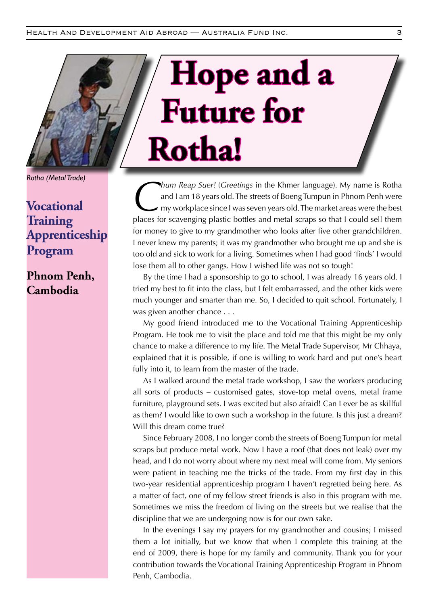*Rotha (Metal Trade)*

### **Vocational Training Apprenticeship Program**

### **Phnom Penh, Cambodia**

## **Hope and a Future for Rotha!**

*Chum Reap Suer!* (*Greetings* in the Khmer language). My name is Rotha<br>and I am 18 years old. The streets of Boeng Tumpun in Phnom Penh were<br>my workplace since I was seven years old. The market areas were the best<br>places and I am 18 years old. The streets of Boeng Tumpun in Phnom Penh were my workplace since I was seven years old. The market areas were the best places for scavenging plastic bottles and metal scraps so that I could sell them for money to give to my grandmother who looks after five other grandchildren. I never knew my parents; it was my grandmother who brought me up and she is too old and sick to work for a living. Sometimes when I had good 'finds' I would lose them all to other gangs. How I wished life was not so tough!

By the time I had a sponsorship to go to school, I was already 16 years old. I tried my best to fit into the class, but I felt embarrassed, and the other kids were much younger and smarter than me. So, I decided to quit school. Fortunately, I was given another chance . . .

My good friend introduced me to the Vocational Training Apprenticeship Program. He took me to visit the place and told me that this might be my only chance to make a difference to my life. The Metal Trade Supervisor, Mr Chhaya, explained that it is possible, if one is willing to work hard and put one's heart fully into it, to learn from the master of the trade.

As I walked around the metal trade workshop, I saw the workers producing all sorts of products – customised gates, stove-top metal ovens, metal frame furniture, playground sets. I was excited but also afraid! Can I ever be as skillful as them? I would like to own such a workshop in the future. Is this just a dream? Will this dream come true?

Since February 2008, I no longer comb the streets of Boeng Tumpun for metal scraps but produce metal work. Now I have a roof (that does not leak) over my head, and I do not worry about where my next meal will come from. My seniors were patient in teaching me the tricks of the trade. From my first day in this two-year residential apprenticeship program I haven't regretted being here. As a matter of fact, one of my fellow street friends is also in this program with me. Sometimes we miss the freedom of living on the streets but we realise that the discipline that we are undergoing now is for our own sake.

In the evenings I say my prayers for my grandmother and cousins; I missed them a lot initially, but we know that when I complete this training at the end of 2009, there is hope for my family and community. Thank you for your contribution towards the Vocational Training Apprenticeship Program in Phnom Penh, Cambodia.